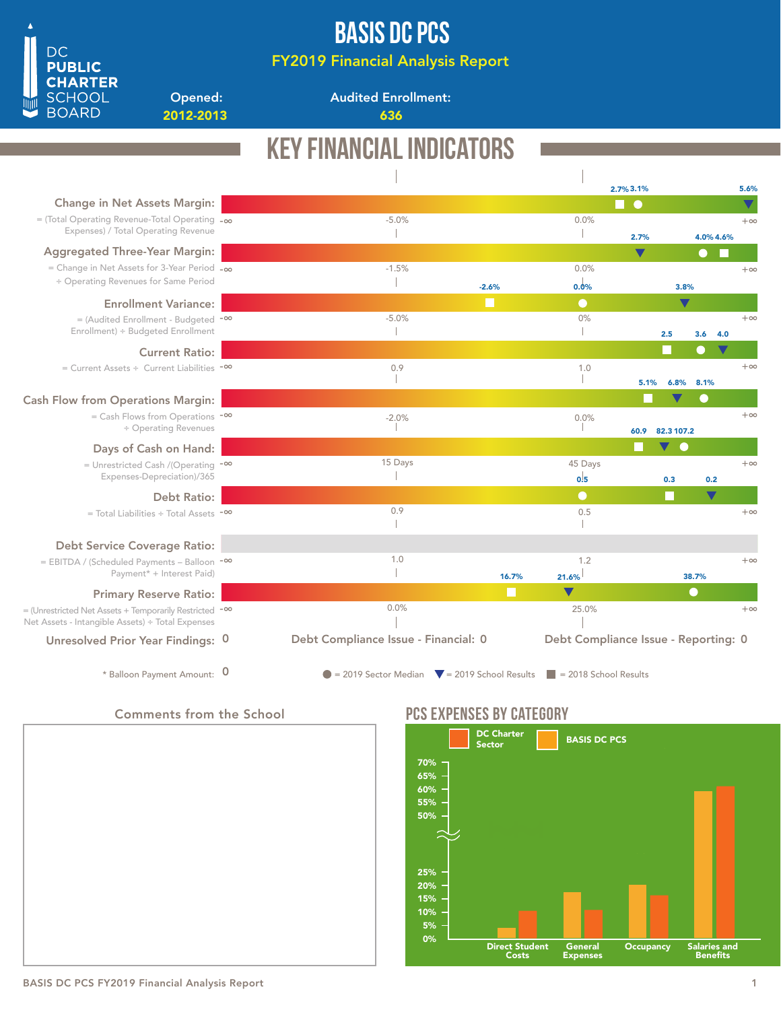# BASIS DC PCS

FY2019 Financial Analysis Report

Audited Enrollment:

2012-2013 636

|                                                                                                                        | <b>KEY FINANCIAL INDICATORS</b>                                                                |                                      |                      |            |                       |                      |
|------------------------------------------------------------------------------------------------------------------------|------------------------------------------------------------------------------------------------|--------------------------------------|----------------------|------------|-----------------------|----------------------|
|                                                                                                                        |                                                                                                |                                      | 2.7% 3.1%            |            |                       | 5.6%                 |
| Change in Net Assets Margin:                                                                                           |                                                                                                |                                      | П●                   |            |                       |                      |
| $=$ (Total Operating Revenue-Total Operating $-\infty$<br>Expenses) / Total Operating Revenue                          | $-5.0%$                                                                                        | 0.0%                                 | 2.7%                 |            | 4.0% 4.6%             | $+\infty$            |
| <b>Aggregated Three-Year Margin:</b>                                                                                   |                                                                                                |                                      | $\blacktriangledown$ |            | $\bullet$             |                      |
| = Change in Net Assets for 3-Year Period $-\infty$<br>÷ Operating Revenues for Same Period                             | $-1.5%$<br>$-2.6%$                                                                             | 0.0%<br>0.0%                         |                      | 3.8%       |                       | $+\infty$            |
| <b>Enrollment Variance:</b>                                                                                            | H                                                                                              | $\bullet$                            |                      | V          |                       |                      |
| $=$ (Audited Enrollment - Budgeted $-$ <sup>00</sup><br>Enrollment) ÷ Budgeted Enrollment                              | $-5.0%$                                                                                        | 0%                                   |                      | 2.5        | 3.6<br>4.0            | $+\infty$            |
| <b>Current Ratio:</b>                                                                                                  |                                                                                                |                                      |                      |            | $\bigcirc$            | $\blacktriangledown$ |
| $=$ Current Assets ÷ Current Liabilities $-$ <sup>00</sup>                                                             | 0.9                                                                                            | 1.0                                  | 5.1%                 | 6.8%       | 8.1%                  | $+\infty$            |
| <b>Cash Flow from Operations Margin:</b>                                                                               |                                                                                                |                                      |                      |            | $\scriptstyle\bullet$ |                      |
| $=$ Cash Flows from Operations $-$ <sup>00</sup><br>÷ Operating Revenues                                               | $-2.0%$                                                                                        | 0.0%                                 | 60.9                 | 82.3 107.2 |                       | $+\infty$            |
| Days of Cash on Hand:                                                                                                  |                                                                                                |                                      |                      | V O        |                       |                      |
| = Unrestricted Cash /(Operating $-$ <sup>00</sup><br>Expenses-Depreciation)/365                                        | 15 Days                                                                                        | 45 Days<br>0.5                       |                      | 0.3        | 0.2                   | $+\infty$            |
| <b>Debt Ratio:</b>                                                                                                     |                                                                                                | $\bullet$                            |                      | Г          | $\blacktriangledown$  |                      |
| $=$ Total Liabilities $\div$ Total Assets $-$ <sup>00</sup>                                                            | 0.9                                                                                            | 0.5                                  |                      |            |                       | $+\infty$            |
| <b>Debt Service Coverage Ratio:</b>                                                                                    |                                                                                                |                                      |                      |            |                       |                      |
| = EBITDA / (Scheduled Payments - Balloon -00<br>Payment* + Interest Paid)                                              | 1.0<br>16.7%                                                                                   | 1.2<br>21.6%                         |                      |            | 38.7%                 | $+\infty$            |
| <b>Primary Reserve Ratio:</b>                                                                                          |                                                                                                | $\blacktriangledown$                 |                      |            | $\bullet$             |                      |
| = (Unrestricted Net Assets + Temporarily Restricted - <sup>∞</sup><br>Net Assets - Intangible Assets) ÷ Total Expenses | 0.0%                                                                                           | 25.0%                                |                      |            |                       | $+\infty$            |
| Unresolved Prior Year Findings: 0                                                                                      | Debt Compliance Issue - Financial: 0                                                           | Debt Compliance Issue - Reporting: 0 |                      |            |                       |                      |
| * Balloon Payment Amount: 0                                                                                            | $\bullet$ = 2019 Sector Median $\bullet$ = 2019 School Results $\bullet$ = 2018 School Results |                                      |                      |            |                       |                      |

### Comments from the School

Opened:

**DC PUBLIC CHARTER SCHOOL BOARD** 



## PCS EXPENSES BY CATEGORY



### BASIS DC PCS FY2019 Financial Analysis Report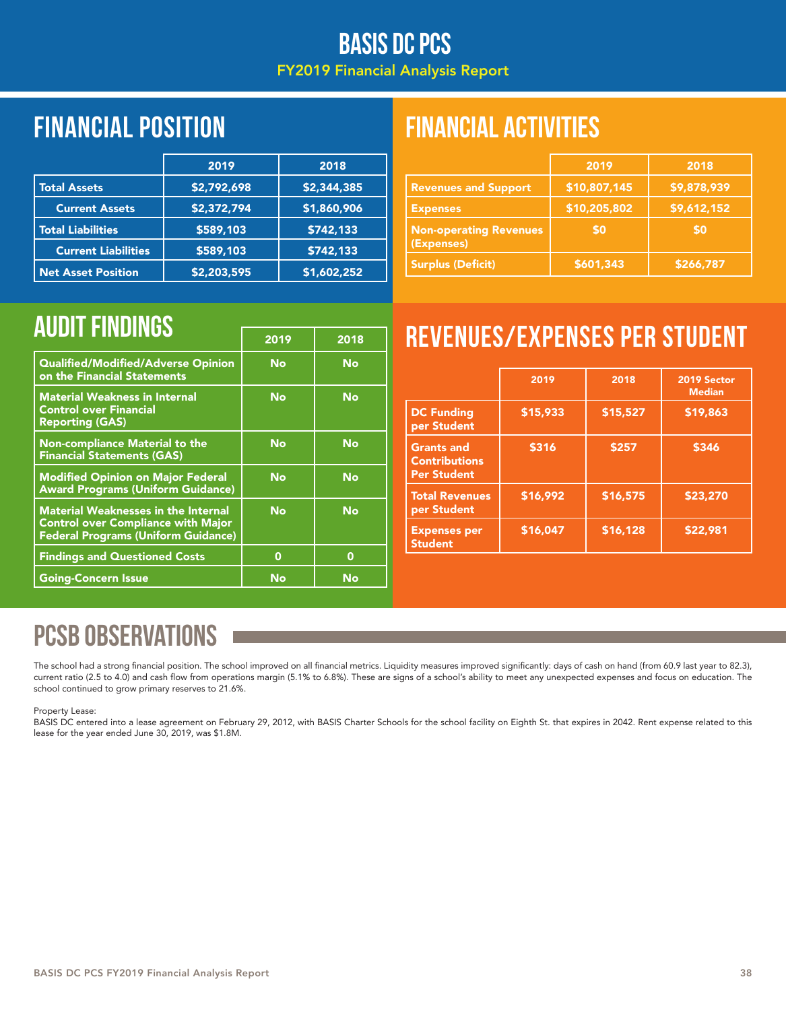## BASIS DC PCS FY2019 Financial Analysis Report

# Financial position FINANCIAL ACTIVITIES

|                            | 2019        | 2018        |
|----------------------------|-------------|-------------|
| <b>Total Assets</b>        | \$2,792,698 | \$2,344,385 |
| <b>Current Assets</b>      | \$2,372,794 | \$1,860,906 |
| <b>Total Liabilities</b>   | \$589,103   | \$742,133   |
| <b>Current Liabilities</b> | \$589,103   | \$742,133   |
| <b>Net Asset Position</b>  | \$2,203,595 | \$1,602,252 |

|                                             | 2019         | 2018        |
|---------------------------------------------|--------------|-------------|
| <b>Revenues and Support</b>                 | \$10,807,145 | \$9,878,939 |
| <b>Expenses</b>                             | \$10,205,802 | \$9,612,152 |
| <b>Non-operating Revenues</b><br>(Expenses) | \$0          | <b>SO</b>   |
| <b>Surplus (Deficit)</b>                    | \$601,343    | \$266,787   |

|                                                                                                                                       | 2019 | 2018 |
|---------------------------------------------------------------------------------------------------------------------------------------|------|------|
| Qualified/Modified/Adverse Opinion<br>on the Financial Statements                                                                     | No   | No   |
| <b>Material Weakness in Internal</b><br><b>Control over Financial</b><br><b>Reporting (GAS)</b>                                       | No   | No   |
| <b>Non-compliance Material to the</b><br><b>Financial Statements (GAS)</b>                                                            | No   | No   |
| <b>Modified Opinion on Major Federal</b><br><b>Award Programs (Uniform Guidance)</b>                                                  | No   | No   |
| <b>Material Weaknesses in the Internal</b><br><b>Control over Compliance with Major</b><br><b>Federal Programs (Uniform Guidance)</b> | No   | No   |
| <b>Findings and Questioned Costs</b>                                                                                                  | 0    | 0    |
| <b>Going-Concern Issue</b>                                                                                                            | No   | No   |

# AUDIT FINDINGS **Findings Findings Finding Strumpt Findings Findings Findings Finding Strumpt Party Revenues/Expenses per Student**

|                                                                 | 2019     | 2018     | 2019 Sector<br><b>Median</b> |
|-----------------------------------------------------------------|----------|----------|------------------------------|
| <b>DC Funding</b><br>per Student                                | \$15,933 | \$15,527 | \$19,863                     |
| <b>Grants and</b><br><b>Contributions</b><br><b>Per Student</b> | \$316    | \$257    | \$346                        |
| <b>Total Revenues</b><br>per Student                            | \$16,992 | \$16,575 | \$23,270                     |
| <b>Expenses per</b><br><b>Student</b>                           | \$16,047 | \$16,128 | \$22,981                     |

# PCSB OBSERVATIONS

The school had a strong financial position. The school improved on all financial metrics. Liquidity measures improved significantly: days of cash on hand (from 60.9 last year to 82.3), current ratio (2.5 to 4.0) and cash flow from operations margin (5.1% to 6.8%). These are signs of a school's ability to meet any unexpected expenses and focus on education. The school continued to grow primary reserves to 21.6%.

### Property Lease:

BASIS DC entered into a lease agreement on February 29, 2012, with BASIS Charter Schools for the school facility on Eighth St. that expires in 2042. Rent expense related to this lease for the year ended June 30, 2019, was \$1.8M.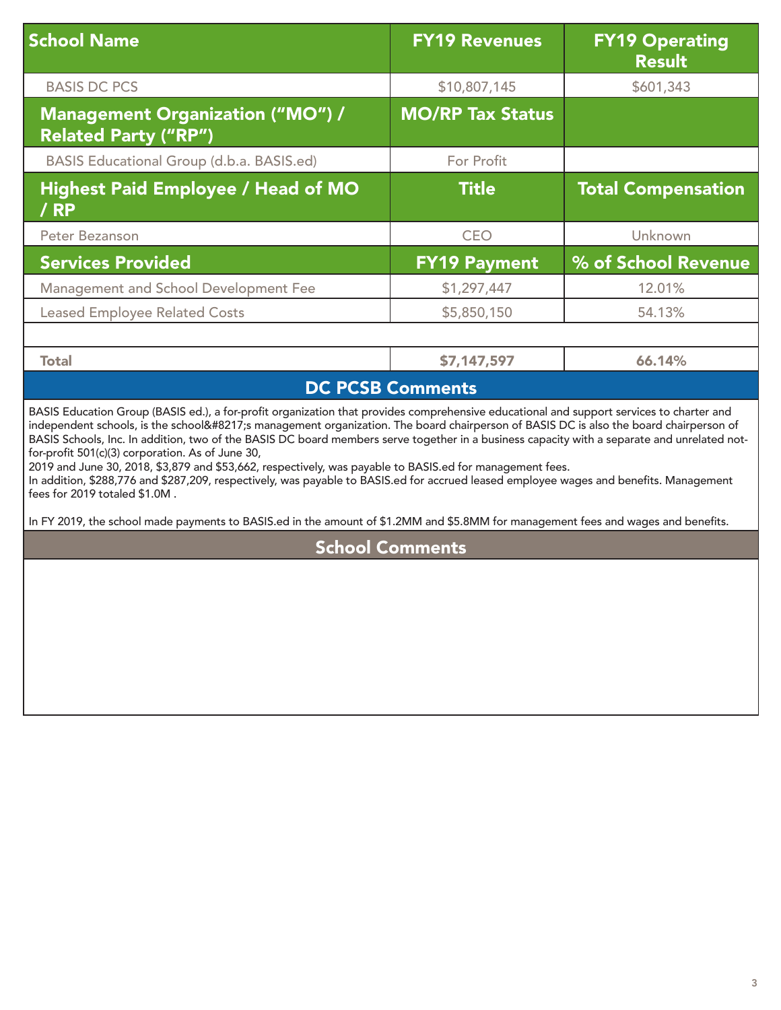| <b>School Name</b>                                                     | <b>FY19 Revenues</b>    | <b>FY19 Operating</b><br><b>Result</b> |
|------------------------------------------------------------------------|-------------------------|----------------------------------------|
| <b>BASIS DC PCS</b>                                                    | \$10,807,145            | \$601,343                              |
| <b>Management Organization ("MO") /</b><br><b>Related Party ("RP")</b> | <b>MO/RP Tax Status</b> |                                        |
| BASIS Educational Group (d.b.a. BASIS.ed)                              | For Profit              |                                        |
| <b>Highest Paid Employee / Head of MO</b><br>/ RP                      | <b>Title</b>            | <b>Total Compensation</b>              |
| Peter Bezanson                                                         | <b>CEO</b>              | Unknown                                |
| <b>Services Provided</b>                                               | <b>FY19 Payment</b>     | % of School Revenue                    |
| Management and School Development Fee                                  | \$1,297,447             | 12.01%                                 |
| <b>Leased Employee Related Costs</b>                                   | \$5,850,150             | 54.13%                                 |
|                                                                        |                         |                                        |
| <b>Total</b>                                                           | \$7,147,597             | 66.14%                                 |

## DC PCSB Comments

BASIS Education Group (BASIS ed.), a for-profit organization that provides comprehensive educational and support services to charter and independent schools, is the school's management organization. The board chairperson of BASIS DC is also the board chairperson of BASIS Schools, Inc. In addition, two of the BASIS DC board members serve together in a business capacity with a separate and unrelated notfor-profit 501(c)(3) corporation. As of June 30,

2019 and June 30, 2018, \$3,879 and \$53,662, respectively, was payable to BASIS.ed for management fees.

In addition, \$288,776 and \$287,209, respectively, was payable to BASIS.ed for accrued leased employee wages and benefits. Management fees for 2019 totaled \$1.0M .

In FY 2019, the school made payments to BASIS.ed in the amount of \$1.2MM and \$5.8MM for management fees and wages and benefits.

### School Comments